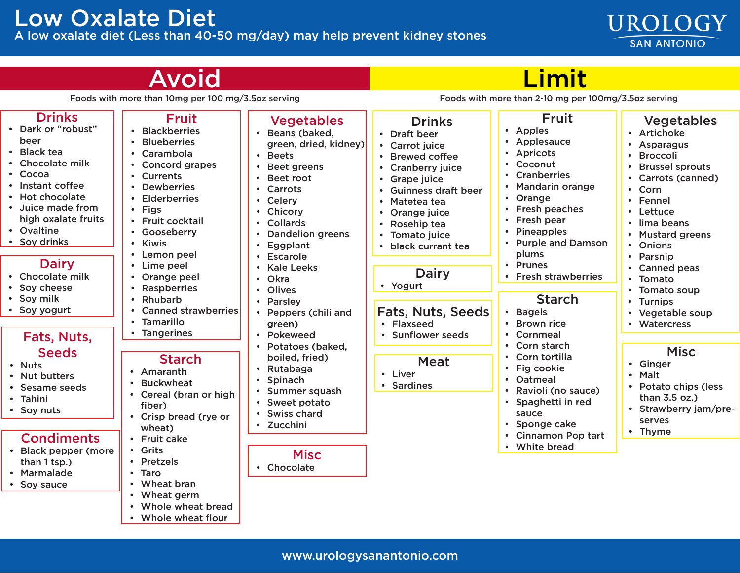### Low Oxalate Diet A low oxalate diet (Less than 40-50 mg/day) may help prevent kidney stones

# **Moid**

## Limit

UROLOGY

**SAN ANTONIO** 

Foods with more than 10mg per 100 mg/3.5oz serving Foods with more than 2-10 mg per 100mg/3.5oz serving

| <b>Drinks</b><br>• Dark or "robust"<br>beer<br>• Black tea<br>• Chocolate milk<br>$\cdot$ Cocoa<br>• Instant coffee<br>• Hot chocolate<br>• Juice made from<br>high oxalate fruits<br>• Ovaltine<br>• Soy drinks<br><b>Dairy</b><br>• Chocolate milk<br>• Soy cheese | <b>Fruit</b><br><b>Blackberries</b><br><b>Blueberries</b><br>Carambola<br><b>Concord grapes</b><br><b>Currents</b><br>• Dewberries<br><b>Elderberries</b><br>• Figs<br>• Fruit cocktail<br>• Gooseberry<br>• Kiwis<br>Lemon peel<br>• Lime peel<br>• Orange peel<br>• Raspberries<br>Rhubarb<br>$\bullet$<br>• Canned strawberries<br>Tamarillo<br>$\bullet$ | <b>Vegetables</b><br>Beans (baked,<br>green, dried, kidney)<br>• Beets<br><b>Beet greens</b><br>Beet root<br>• Carrots<br>• Celery<br>• Chicory<br><b>Collards</b><br><b>Dandelion greens</b><br>Eggplant<br>• Escarole<br><b>Kale Leeks</b><br>• Okra<br>• Olives<br>• Parsley<br>Peppers (chili and<br>green)<br>• Pokeweed<br>Potatoes (baked,<br>boiled, fried)<br>Rutabaga<br>Spinach<br>Summer squash<br>Sweet potato<br><b>Swiss chard</b><br>• Zucchini | <b>Drinks</b><br>• Draft beer<br>• Carrot juice<br>• Brewed coffee<br><b>Cranberry juice</b><br>Grape juice<br><b>Guinness draft beer</b><br>Matetea tea<br>$\bullet$<br>Orange juice<br>$\bullet$<br>Rosehip tea<br>Tomato juice<br>black currant tea<br>$\bullet$<br><b>Dairy</b><br>• Yogurt | <b>Fruit</b><br>Apples<br>$\bullet$<br>Applesauce<br>Apricots<br>$\bullet$<br>Coconut<br>$\bullet$<br><b>Cranberries</b><br><b>Mandarin orange</b><br>Orange<br>$\bullet$<br>Fresh peaches<br>$\bullet$<br>Fresh pear<br><b>Pineapples</b><br><b>Purple and Damson</b><br>plums<br><b>Prunes</b><br>$\bullet$<br><b>Fresh strawberries</b><br><b>Starch</b><br><b>Bagels</b><br>$\bullet$<br><b>Brown rice</b><br>Cornmeal<br>Corn starch<br>Corn tortilla<br>Fig cookie<br>$\bullet$<br>Oatmeal<br>$\bullet$<br>Ravioli (no sauce)<br>Spaghetti in red<br>sauce<br>Sponge cake | <b>Vegetables</b><br>• Artichoke<br>• Asparagus<br>• Broccoli<br><b>Brussel sprouts</b><br>• Carrots (canned)<br>• Corn<br>• Fennel<br>• Lettuce<br>• lima beans<br>• Mustard greens<br>• Onions<br>• Parsnip<br>• Canned peas<br>• Tomato<br>• Tomato soup<br>• Turnips<br>• Vegetable soup<br>• Watercress |
|----------------------------------------------------------------------------------------------------------------------------------------------------------------------------------------------------------------------------------------------------------------------|--------------------------------------------------------------------------------------------------------------------------------------------------------------------------------------------------------------------------------------------------------------------------------------------------------------------------------------------------------------|-----------------------------------------------------------------------------------------------------------------------------------------------------------------------------------------------------------------------------------------------------------------------------------------------------------------------------------------------------------------------------------------------------------------------------------------------------------------|-------------------------------------------------------------------------------------------------------------------------------------------------------------------------------------------------------------------------------------------------------------------------------------------------|---------------------------------------------------------------------------------------------------------------------------------------------------------------------------------------------------------------------------------------------------------------------------------------------------------------------------------------------------------------------------------------------------------------------------------------------------------------------------------------------------------------------------------------------------------------------------------|--------------------------------------------------------------------------------------------------------------------------------------------------------------------------------------------------------------------------------------------------------------------------------------------------------------|
| • Soy milk<br>• Soy yogurt                                                                                                                                                                                                                                           |                                                                                                                                                                                                                                                                                                                                                              |                                                                                                                                                                                                                                                                                                                                                                                                                                                                 | Fats, Nuts, Seeds<br>• Flaxseed                                                                                                                                                                                                                                                                 |                                                                                                                                                                                                                                                                                                                                                                                                                                                                                                                                                                                 |                                                                                                                                                                                                                                                                                                              |
| Fats, Nuts,<br><b>Seeds</b><br>• Nuts<br>• Nut butters<br>• Sesame seeds<br>• Tahini<br>• Soy nuts                                                                                                                                                                   | <b>Tangerines</b><br><b>Starch</b><br>• Amaranth<br>• Buckwheat<br>• Cereal (bran or high<br>fiber)<br>• Crisp bread (rye or<br>wheat)                                                                                                                                                                                                                       |                                                                                                                                                                                                                                                                                                                                                                                                                                                                 | • Sunflower seeds<br><b>Meat</b><br>• Liver<br><b>Sardines</b>                                                                                                                                                                                                                                  |                                                                                                                                                                                                                                                                                                                                                                                                                                                                                                                                                                                 | <b>Misc</b><br>• Ginger<br>• Malt<br>• Potato chips (less<br>than 3.5 oz.)<br>• Strawberry jam/pre-<br>serves<br>• Thyme                                                                                                                                                                                     |
| <b>Condiments</b><br>Dlask nonnor (moro                                                                                                                                                                                                                              | • Fruit cake<br>$C$ rite                                                                                                                                                                                                                                                                                                                                     |                                                                                                                                                                                                                                                                                                                                                                                                                                                                 |                                                                                                                                                                                                                                                                                                 | <b>Cinnamon Pop tart</b><br>• White bread                                                                                                                                                                                                                                                                                                                                                                                                                                                                                                                                       |                                                                                                                                                                                                                                                                                                              |

- Black pepper (more than 1 tsp.)
- Marmalade
- Soy sauce

www.urologysanantonio.com

- 
- Wheat bran
- Wheat germ

• Grits • Pretzels • Taro

- Whole wheat bread
- Whole wheat flour
- 
- **Misc**
- 
- 

### • Chocolate